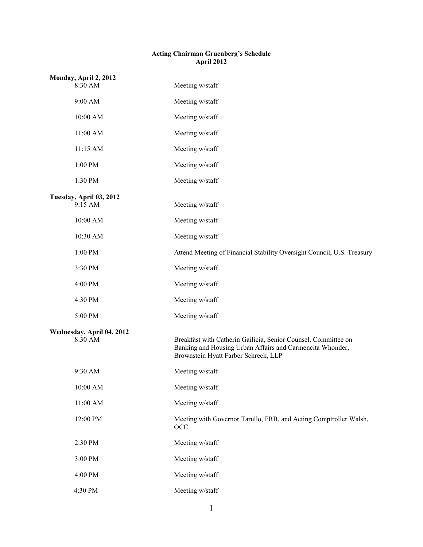### **Acting Chairman Gruenberg's Schedule April 2012**

|                                      | Monday, April 2, 2012              |                                                                                                                                                                     |
|--------------------------------------|------------------------------------|---------------------------------------------------------------------------------------------------------------------------------------------------------------------|
|                                      | 8:30 AM                            | Meeting w/staff                                                                                                                                                     |
|                                      | 9:00 AM                            | Meeting w/staff                                                                                                                                                     |
|                                      | 10:00 AM                           | Meeting w/staff                                                                                                                                                     |
|                                      | 11:00 AM                           | Meeting w/staff                                                                                                                                                     |
|                                      | 11:15 AM                           | Meeting w/staff                                                                                                                                                     |
|                                      | $1:00 \; \mathrm{PM}$              | Meeting w/staff                                                                                                                                                     |
|                                      | 1:30 PM                            | Meeting w/staff                                                                                                                                                     |
|                                      | Tuesday, April 03, 2012<br>9:15 AM | Meeting w/staff                                                                                                                                                     |
|                                      | 10:00 AM                           | Meeting w/staff                                                                                                                                                     |
|                                      | 10:30 AM                           | Meeting w/staff                                                                                                                                                     |
|                                      | 1:00 PM                            | Attend Meeting of Financial Stability Oversight Council, U.S. Treasury                                                                                              |
|                                      | 3:30 PM                            | Meeting w/staff                                                                                                                                                     |
|                                      | 4:00 PM                            | Meeting w/staff                                                                                                                                                     |
|                                      | 4:30 PM                            | Meeting w/staff                                                                                                                                                     |
|                                      | 5:00 PM                            | Meeting w/staff                                                                                                                                                     |
| Wednesday, April 04, 2012<br>8:30 AM |                                    | Breakfast with Catherin Gailicia, Senior Counsel, Committee on<br>Banking and Housing Urban Affairs and Carmencita Whonder,<br>Brownstein Hyatt Farber Schreck, LLP |
|                                      | 9:30 AM                            | Meeting w/staff                                                                                                                                                     |
|                                      | 10:00 AM                           | Meeting w/staff                                                                                                                                                     |
|                                      | 11:00 AM                           | Meeting w/staff                                                                                                                                                     |
|                                      | 12:00 PM                           | Meeting with Governor Tarullo, FRB, and Acting Comptroller Walsh,<br>OCC                                                                                            |
|                                      | 2:30 PM                            | Meeting w/staff                                                                                                                                                     |
|                                      | 3:00 PM                            | Meeting w/staff                                                                                                                                                     |
|                                      | 4:00 PM                            | Meeting w/staff                                                                                                                                                     |
|                                      | 4:30 PM                            | Meeting w/staff                                                                                                                                                     |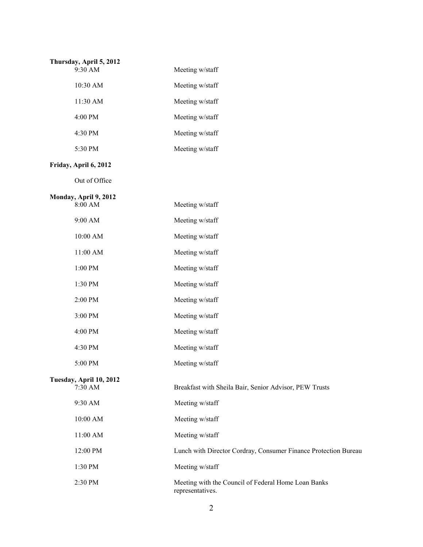| Thursday, April 5, 2012<br>$9:30$ AM | Meeting w/staff |
|--------------------------------------|-----------------|
| $10:30$ AM                           | Meeting w/staff |
| 11:30 AM                             | Meeting w/staff |
| $4:00$ PM                            | Meeting w/staff |
| 4:30 PM                              | Meeting w/staff |
| 5:30 PM                              | Meeting w/staff |
|                                      |                 |

### **Friday, April 6, 2012**

Out of Office

| Monday, April 9, 2012              |                                                                         |
|------------------------------------|-------------------------------------------------------------------------|
| 8:00 AM                            | Meeting w/staff                                                         |
| 9:00 AM                            | Meeting w/staff                                                         |
| 10:00 AM                           | Meeting w/staff                                                         |
| 11:00 AM                           | Meeting w/staff                                                         |
| 1:00 PM                            | Meeting w/staff                                                         |
| 1:30 PM                            | Meeting w/staff                                                         |
| 2:00 PM                            | Meeting w/staff                                                         |
| 3:00 PM                            | Meeting w/staff                                                         |
| 4:00 PM                            | Meeting w/staff                                                         |
| 4:30 PM                            | Meeting w/staff                                                         |
| 5:00 PM                            | Meeting w/staff                                                         |
| Tuesday, April 10, 2012<br>7:30 AM | Breakfast with Sheila Bair, Senior Advisor, PEW Trusts                  |
|                                    |                                                                         |
| 9:30 AM                            | Meeting w/staff                                                         |
| 10:00 AM                           | Meeting w/staff                                                         |
| 11:00 AM                           | Meeting w/staff                                                         |
| 12:00 PM                           | Lunch with Director Cordray, Consumer Finance Protection Bureau         |
| 1:30 PM                            | Meeting w/staff                                                         |
| 2:30 PM                            | Meeting with the Council of Federal Home Loan Banks<br>representatives. |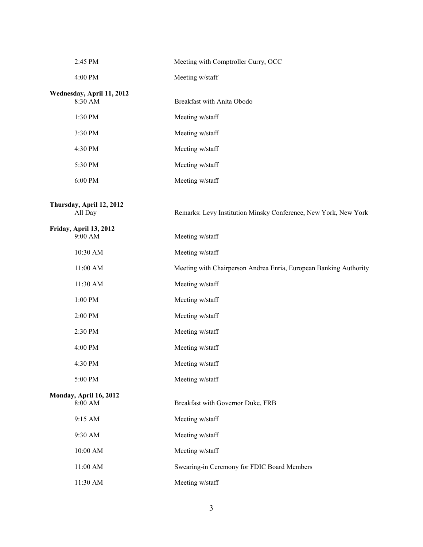| 2:45 PM                              | Meeting with Comptroller Curry, OCC                               |
|--------------------------------------|-------------------------------------------------------------------|
| 4:00 PM                              | Meeting w/staff                                                   |
| Wednesday, April 11, 2012<br>8:30 AM | Breakfast with Anita Obodo                                        |
| 1:30 PM                              | Meeting w/staff                                                   |
| 3:30 PM                              | Meeting w/staff                                                   |
| 4:30 PM                              | Meeting w/staff                                                   |
| 5:30 PM                              | Meeting w/staff                                                   |
| 6:00 PM                              | Meeting w/staff                                                   |
| Thursday, April 12, 2012<br>All Day  | Remarks: Levy Institution Minsky Conference, New York, New York   |
| Friday, April 13, 2012<br>9:00 AM    | Meeting w/staff                                                   |
| 10:30 AM                             | Meeting w/staff                                                   |
| 11:00 AM                             | Meeting with Chairperson Andrea Enria, European Banking Authority |
| 11:30 AM                             | Meeting w/staff                                                   |
| 1:00 PM                              | Meeting w/staff                                                   |
| 2:00 PM                              | Meeting w/staff                                                   |
| 2:30 PM                              | Meeting w/staff                                                   |
| 4:00 PM                              | Meeting w/staff                                                   |
| 4:30 PM                              | Meeting w/staff                                                   |
| 5:00 PM                              | Meeting w/staff                                                   |
| Monday, April 16, 2012<br>8:00 AM    | Breakfast with Governor Duke, FRB                                 |
| 9:15 AM                              | Meeting w/staff                                                   |
| 9:30 AM                              | Meeting w/staff                                                   |
| $10:00~\mathrm{AM}$                  | Meeting w/staff                                                   |
| $11:00$ AM $\,$                      | Swearing-in Ceremony for FDIC Board Members                       |
| 11:30 AM                             | Meeting w/staff                                                   |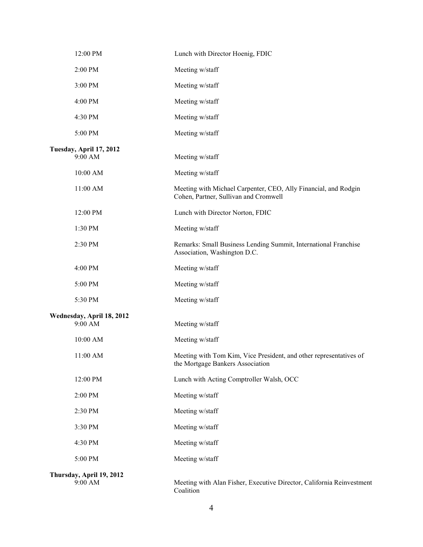| 12:00 PM                             | Lunch with Director Hoenig, FDIC                                                                         |
|--------------------------------------|----------------------------------------------------------------------------------------------------------|
| 2:00 PM                              | Meeting w/staff                                                                                          |
| 3:00 PM                              | Meeting w/staff                                                                                          |
| 4:00 PM                              | Meeting w/staff                                                                                          |
| 4:30 PM                              | Meeting w/staff                                                                                          |
| 5:00 PM                              | Meeting w/staff                                                                                          |
| Tuesday, April 17, 2012<br>9:00 AM   | Meeting w/staff                                                                                          |
| 10:00 AM                             | Meeting w/staff                                                                                          |
| 11:00 AM                             | Meeting with Michael Carpenter, CEO, Ally Financial, and Rodgin<br>Cohen, Partner, Sullivan and Cromwell |
| 12:00 PM                             | Lunch with Director Norton, FDIC                                                                         |
| 1:30 PM                              | Meeting w/staff                                                                                          |
| 2:30 PM                              | Remarks: Small Business Lending Summit, International Franchise<br>Association, Washington D.C.          |
| 4:00 PM                              | Meeting w/staff                                                                                          |
| 5:00 PM                              | Meeting w/staff                                                                                          |
| 5:30 PM                              | Meeting w/staff                                                                                          |
| Wednesday, April 18, 2012<br>9:00 AM | Meeting w/staff                                                                                          |
| 10:00 AM                             | Meeting w/staff                                                                                          |
| 11:00 AM                             | Meeting with Tom Kim, Vice President, and other representatives of<br>the Mortgage Bankers Association   |
| 12:00 PM                             | Lunch with Acting Comptroller Walsh, OCC                                                                 |
| 2:00 PM                              | Meeting w/staff                                                                                          |
| 2:30 PM                              | Meeting w/staff                                                                                          |
| 3:30 PM                              | Meeting w/staff                                                                                          |
| 4:30 PM                              | Meeting w/staff                                                                                          |
| 5:00 PM                              | Meeting w/staff                                                                                          |
| Thursday, April 19, 2012<br>9:00 AM  | Meeting with Alan Fisher, Executive Director, California Reinvestment<br>Coalition                       |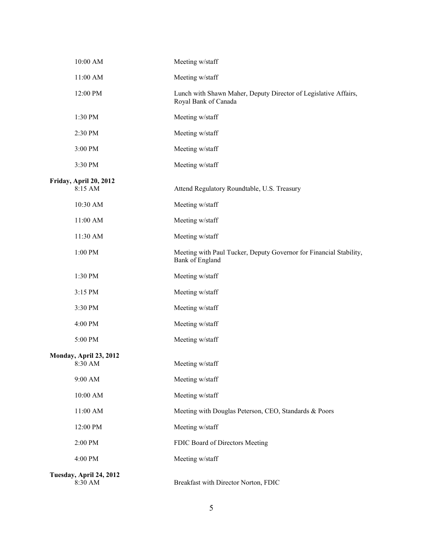| 10:00 AM                           | Meeting w/staff                                                                         |
|------------------------------------|-----------------------------------------------------------------------------------------|
| 11:00 AM                           | Meeting w/staff                                                                         |
| 12:00 PM                           | Lunch with Shawn Maher, Deputy Director of Legislative Affairs,<br>Royal Bank of Canada |
| 1:30 PM                            | Meeting w/staff                                                                         |
| 2:30 PM                            | Meeting w/staff                                                                         |
| 3:00 PM                            | Meeting w/staff                                                                         |
| 3:30 PM                            | Meeting w/staff                                                                         |
| Friday, April 20, 2012<br>8:15 AM  | Attend Regulatory Roundtable, U.S. Treasury                                             |
| 10:30 AM                           | Meeting w/staff                                                                         |
| 11:00 AM                           | Meeting w/staff                                                                         |
| 11:30 AM                           | Meeting w/staff                                                                         |
| 1:00 PM                            | Meeting with Paul Tucker, Deputy Governor for Financial Stability,<br>Bank of England   |
| 1:30 PM                            | Meeting w/staff                                                                         |
| 3:15 PM                            | Meeting w/staff                                                                         |
| 3:30 PM                            | Meeting w/staff                                                                         |
| 4:00 PM                            | Meeting w/staff                                                                         |
| 5:00 PM                            | Meeting w/staff                                                                         |
| Monday, April 23, 2012<br>8:30 AM  | Meeting w/staff                                                                         |
| 9:00 AM                            | Meeting w/staff                                                                         |
| 10:00 AM                           | Meeting w/staff                                                                         |
| 11:00 AM                           | Meeting with Douglas Peterson, CEO, Standards & Poors                                   |
| 12:00 PM                           | Meeting w/staff                                                                         |
| 2:00 PM                            | FDIC Board of Directors Meeting                                                         |
| 4:00 PM                            | Meeting w/staff                                                                         |
| Tuesday, April 24, 2012<br>8:30 AM | Breakfast with Director Norton, FDIC                                                    |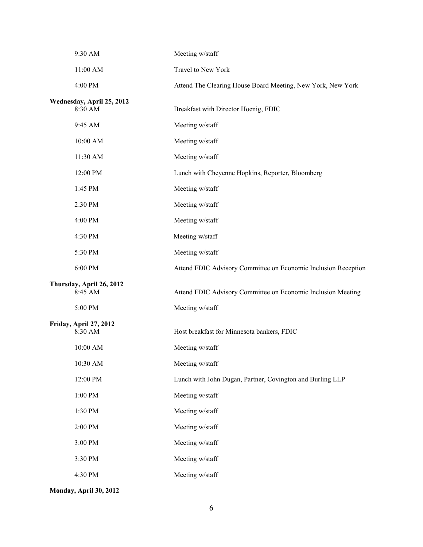| 9:30 AM                              | Meeting w/staff                                                |
|--------------------------------------|----------------------------------------------------------------|
| 11:00 AM                             | Travel to New York                                             |
| 4:00 PM                              | Attend The Clearing House Board Meeting, New York, New York    |
| Wednesday, April 25, 2012<br>8:30 AM | Breakfast with Director Hoenig, FDIC                           |
| 9:45 AM                              | Meeting w/staff                                                |
| 10:00 AM                             | Meeting w/staff                                                |
| 11:30 AM                             | Meeting w/staff                                                |
| 12:00 PM                             | Lunch with Cheyenne Hopkins, Reporter, Bloomberg               |
| 1:45 PM                              | Meeting w/staff                                                |
| 2:30 PM                              | Meeting w/staff                                                |
| 4:00 PM                              | Meeting w/staff                                                |
| 4:30 PM                              | Meeting w/staff                                                |
| 5:30 PM                              | Meeting w/staff                                                |
| 6:00 PM                              | Attend FDIC Advisory Committee on Economic Inclusion Reception |
| Thursday, April 26, 2012<br>8:45 AM  | Attend FDIC Advisory Committee on Economic Inclusion Meeting   |
| 5:00 PM                              | Meeting w/staff                                                |
| Friday, April 27, 2012<br>8:30 AM    | Host breakfast for Minnesota bankers, FDIC                     |
| 10:00 AM                             | Meeting w/staff                                                |
| 10:30 AM                             | Meeting w/staff                                                |
| 12:00 PM                             | Lunch with John Dugan, Partner, Covington and Burling LLP      |
| 1:00 PM                              | Meeting w/staff                                                |
| 1:30 PM                              | Meeting w/staff                                                |
| 2:00 PM                              | Meeting w/staff                                                |
| 3:00 PM                              | Meeting w/staff                                                |
| 3:30 PM                              | Meeting w/staff                                                |
| 4:30 PM                              | Meeting w/staff                                                |
|                                      |                                                                |

**Monday, April 30, 2012**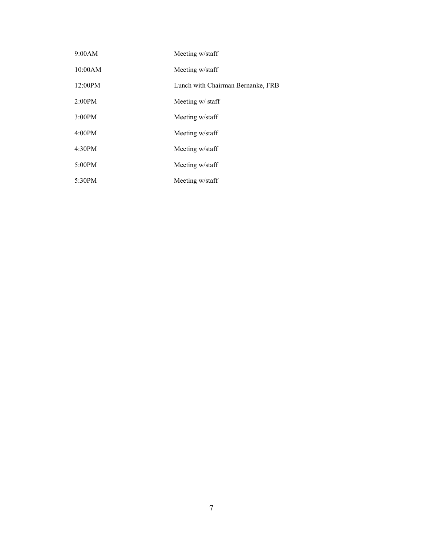| 9:00AM  | Meeting w/staff                   |
|---------|-----------------------------------|
| 10:00AM | Meeting w/staff                   |
| 12:00PM | Lunch with Chairman Bernanke, FRB |
| 2:00PM  | Meeting w/ staff                  |
| 3:00PM  | Meeting w/staff                   |
| 4:00PM  | Meeting w/staff                   |
| 4:30PM  | Meeting w/staff                   |
| 5:00PM  | Meeting w/staff                   |
| 5:30PM  | Meeting w/staff                   |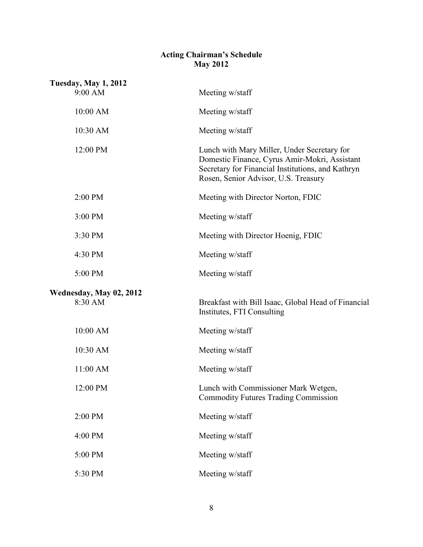## **Acting Chairman's Schedule May 2012**

| <b>Tuesday, May 1, 2012</b><br>9:00 AM | Meeting w/staff                                                                                                                                                                           |
|----------------------------------------|-------------------------------------------------------------------------------------------------------------------------------------------------------------------------------------------|
| 10:00 AM                               | Meeting w/staff                                                                                                                                                                           |
| 10:30 AM                               | Meeting w/staff                                                                                                                                                                           |
| 12:00 PM                               | Lunch with Mary Miller, Under Secretary for<br>Domestic Finance, Cyrus Amir-Mokri, Assistant<br>Secretary for Financial Institutions, and Kathryn<br>Rosen, Senior Advisor, U.S. Treasury |
| 2:00 PM                                | Meeting with Director Norton, FDIC                                                                                                                                                        |
| 3:00 PM                                | Meeting w/staff                                                                                                                                                                           |
| 3:30 PM                                | Meeting with Director Hoenig, FDIC                                                                                                                                                        |
| 4:30 PM                                | Meeting w/staff                                                                                                                                                                           |
| 5:00 PM                                | Meeting w/staff                                                                                                                                                                           |
| Wednesday, May 02, 2012<br>8:30 AM     | Breakfast with Bill Isaac, Global Head of Financial<br>Institutes, FTI Consulting                                                                                                         |
| 10:00 AM                               | Meeting w/staff                                                                                                                                                                           |
| 10:30 AM                               | Meeting w/staff                                                                                                                                                                           |
| 11:00 AM                               | Meeting w/staff                                                                                                                                                                           |
| 12:00 PM                               | Lunch with Commissioner Mark Wetgen<br><b>Commodity Futures Trading Commission</b>                                                                                                        |
| 2:00 PM                                | Meeting w/staff                                                                                                                                                                           |
| 4:00 PM                                | Meeting w/staff                                                                                                                                                                           |
| 5:00 PM                                | Meeting w/staff                                                                                                                                                                           |
| 5:30 PM                                | Meeting w/staff                                                                                                                                                                           |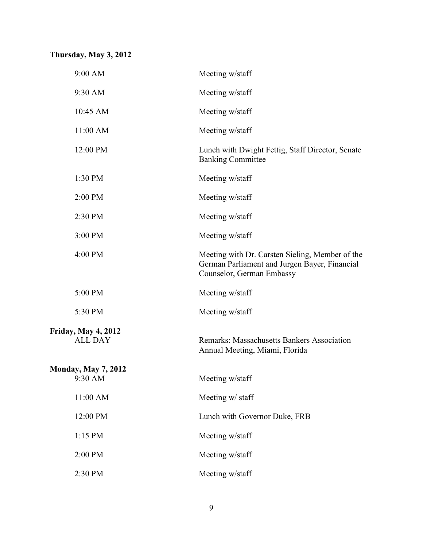# **Thursday, May 3, 2012**

| 9:00 AM                                      | Meeting w/staff                                                                                                               |
|----------------------------------------------|-------------------------------------------------------------------------------------------------------------------------------|
| 9:30 AM                                      | Meeting w/staff                                                                                                               |
| 10:45 AM                                     | Meeting w/staff                                                                                                               |
| 11:00 AM                                     | Meeting w/staff                                                                                                               |
| 12:00 PM                                     | Lunch with Dwight Fettig, Staff Director, Senate<br><b>Banking Committee</b>                                                  |
| 1:30 PM                                      | Meeting w/staff                                                                                                               |
| 2:00 PM                                      | Meeting w/staff                                                                                                               |
| 2:30 PM                                      | Meeting w/staff                                                                                                               |
| 3:00 PM                                      | Meeting w/staff                                                                                                               |
| 4:00 PM                                      | Meeting with Dr. Carsten Sieling, Member of the<br>German Parliament and Jurgen Bayer, Financial<br>Counselor, German Embassy |
| 5:00 PM                                      | Meeting w/staff                                                                                                               |
| 5:30 PM                                      | Meeting w/staff                                                                                                               |
| <b>Friday, May 4, 2012</b><br><b>ALL DAY</b> | Remarks: Massachusetts Bankers Association<br>Annual Meeting, Miami, Florida                                                  |
| <b>Monday, May 7, 2012</b><br>$9:30$ AM      | Meeting w/staff                                                                                                               |
| 11:00 AM                                     | Meeting w/ staff                                                                                                              |
| 12:00 PM                                     | Lunch with Governor Duke, FRB                                                                                                 |
| 1:15 PM                                      | Meeting w/staff                                                                                                               |
| 2:00 PM                                      | Meeting w/staff                                                                                                               |
| 2:30 PM                                      | Meeting w/staff                                                                                                               |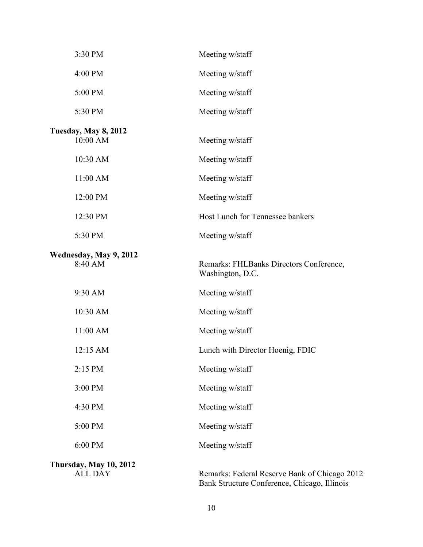| 3:30 PM                                  | Meeting w/staff                                                                               |
|------------------------------------------|-----------------------------------------------------------------------------------------------|
| 4:00 PM                                  | Meeting w/staff                                                                               |
| 5:00 PM                                  | Meeting w/staff                                                                               |
| 5:30 PM                                  | Meeting w/staff                                                                               |
| Tuesday, May 8, 2012<br>10:00 AM         | Meeting w/staff                                                                               |
| 10:30 AM                                 | Meeting w/staff                                                                               |
| 11:00 AM                                 | Meeting w/staff                                                                               |
| 12:00 PM                                 | Meeting w/staff                                                                               |
| 12:30 PM                                 | Host Lunch for Tennessee bankers                                                              |
| 5:30 PM                                  | Meeting w/staff                                                                               |
| Wednesday, May 9, 2012<br>8:40 AM        | Remarks: FHLBanks Directors Conference,<br>Washington, D.C.                                   |
| 9:30 AM                                  | Meeting w/staff                                                                               |
| 10:30 AM                                 | Meeting w/staff                                                                               |
| 11:00 AM                                 | Meeting w/staff                                                                               |
| 12:15 AM                                 | Lunch with Director Hoenig, FDIC                                                              |
| 2:15 PM                                  | Meeting w/staff                                                                               |
| 3:00 PM                                  | Meeting w/staff                                                                               |
| 4:30 PM                                  | Meeting w/staff                                                                               |
| 5:00 PM                                  | Meeting w/staff                                                                               |
| 6:00 PM                                  | Meeting w/staff                                                                               |
| Thursday, May 10, 2012<br><b>ALL DAY</b> | Remarks: Federal Reserve Bank of Chicago 2012<br>Bank Structure Conference, Chicago, Illinois |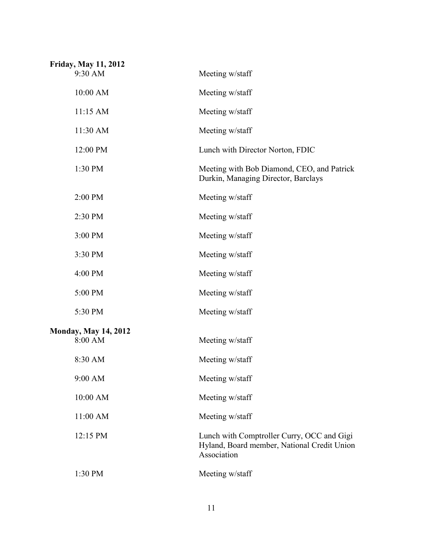| <b>Friday, May 11, 2012</b><br>9:30 AM | Meeting w/staff                                                                                          |
|----------------------------------------|----------------------------------------------------------------------------------------------------------|
| 10:00 AM                               | Meeting w/staff                                                                                          |
| 11:15 AM                               | Meeting w/staff                                                                                          |
| 11:30 AM                               | Meeting w/staff                                                                                          |
| 12:00 PM                               | Lunch with Director Norton, FDIC                                                                         |
| 1:30 PM                                | Meeting with Bob Diamond, CEO, and Patrick<br>Durkin, Managing Director, Barclays                        |
| 2:00 PM                                | Meeting w/staff                                                                                          |
| 2:30 PM                                | Meeting w/staff                                                                                          |
| 3:00 PM                                | Meeting w/staff                                                                                          |
| 3:30 PM                                | Meeting w/staff                                                                                          |
| 4:00 PM                                | Meeting w/staff                                                                                          |
| 5:00 PM                                | Meeting w/staff                                                                                          |
| 5:30 PM                                | Meeting w/staff                                                                                          |
| <b>Monday, May 14, 2012</b><br>8:00 AM | Meeting w/staff                                                                                          |
| 8:30 AM                                | Meeting w/staff                                                                                          |
| 9:00 AM                                | Meeting w/staff                                                                                          |
| 10:00 AM                               | Meeting w/staff                                                                                          |
| 11:00 AM                               | Meeting w/staff                                                                                          |
| 12:15 PM                               | Lunch with Comptroller Curry, OCC and Gigi<br>Hyland, Board member, National Credit Union<br>Association |
| 1:30 PM                                | Meeting w/staff                                                                                          |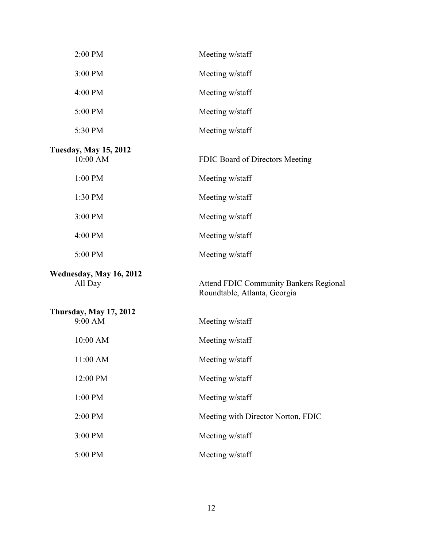| 2:00 PM                                  | Meeting w/staff                                                               |
|------------------------------------------|-------------------------------------------------------------------------------|
| 3:00 PM                                  | Meeting w/staff                                                               |
| 4:00 PM                                  | Meeting w/staff                                                               |
| 5:00 PM                                  | Meeting w/staff                                                               |
| 5:30 PM                                  | Meeting w/staff                                                               |
| <b>Tuesday, May 15, 2012</b><br>10:00 AM | FDIC Board of Directors Meeting                                               |
| 1:00 PM                                  | Meeting w/staff                                                               |
| 1:30 PM                                  | Meeting w/staff                                                               |
| 3:00 PM                                  | Meeting w/staff                                                               |
| 4:00 PM                                  | Meeting w/staff                                                               |
| 5:00 PM                                  | Meeting w/staff                                                               |
| Wednesday, May 16, 2012<br>All Day       | <b>Attend FDIC Community Bankers Regional</b><br>Roundtable, Atlanta, Georgia |
| <b>Thursday, May 17, 2012</b><br>9:00 AM | Meeting w/staff                                                               |
| 10:00 AM                                 | Meeting w/staff                                                               |
| 11:00 AM                                 | Meeting w/staff                                                               |
| 12:00 PM                                 | Meeting w/staff                                                               |
| 1:00 PM                                  | Meeting w/staff                                                               |
| 2:00 PM                                  | Meeting with Director Norton, FDIC                                            |
| 3:00 PM                                  | Meeting w/staff                                                               |
| 5:00 PM                                  | Meeting w/staff                                                               |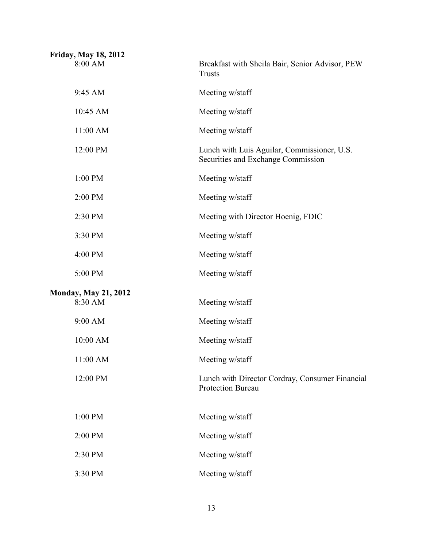| <b>Friday, May 18, 2012</b>            |                                                                                   |
|----------------------------------------|-----------------------------------------------------------------------------------|
| 8:00 AM                                | Breakfast with Sheila Bair, Senior Advisor, PEW<br><b>Trusts</b>                  |
| 9:45 AM                                | Meeting w/staff                                                                   |
| 10:45 AM                               | Meeting w/staff                                                                   |
| 11:00 AM                               | Meeting w/staff                                                                   |
| 12:00 PM                               | Lunch with Luis Aguilar, Commissioner, U.S.<br>Securities and Exchange Commission |
| 1:00 PM                                | Meeting w/staff                                                                   |
| 2:00 PM                                | Meeting w/staff                                                                   |
| 2:30 PM                                | Meeting with Director Hoenig, FDIC                                                |
| 3:30 PM                                | Meeting w/staff                                                                   |
| 4:00 PM                                | Meeting w/staff                                                                   |
| 5:00 PM                                | Meeting w/staff                                                                   |
| <b>Monday, May 21, 2012</b><br>8:30 AM | Meeting w/staff                                                                   |
| 9:00 AM                                | Meeting w/staff                                                                   |
| 10:00 AM                               | Meeting w/staff                                                                   |
| 11:00 AM                               | Meeting w/staff                                                                   |
| 12:00 PM                               | Lunch with Director Cordray, Consumer Financial<br><b>Protection Bureau</b>       |
| 1:00 PM                                | Meeting w/staff                                                                   |
| 2:00 PM                                | Meeting w/staff                                                                   |
| 2:30 PM                                | Meeting w/staff                                                                   |
| 3:30 PM                                | Meeting w/staff                                                                   |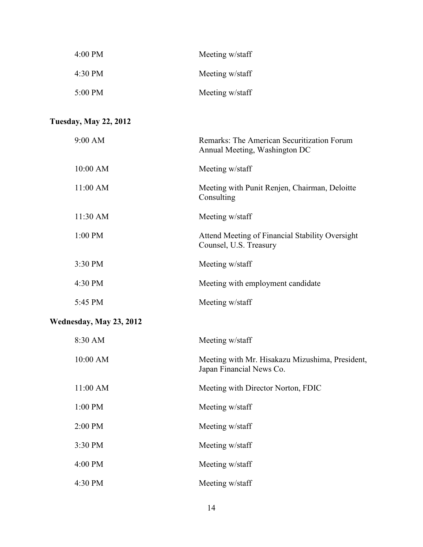| Meeting w/staff | 4:00 PM   |
|-----------------|-----------|
| Meeting w/staff | 4:30 PM   |
| Meeting w/staff | $5:00$ PM |

## **Tuesday, May 22, 2012**

| 9:00 AM                 | Remarks: The American Securitization Forum<br>Annual Meeting, Washington DC |
|-------------------------|-----------------------------------------------------------------------------|
| 10:00 AM                | Meeting w/staff                                                             |
| 11:00 AM                | Meeting with Punit Renjen, Chairman, Deloitte<br>Consulting                 |
| 11:30 AM                | Meeting w/staff                                                             |
| 1:00 PM                 | Attend Meeting of Financial Stability Oversight<br>Counsel, U.S. Treasury   |
| 3:30 PM                 | Meeting w/staff                                                             |
| 4:30 PM                 | Meeting with employment candidate                                           |
| 5:45 PM                 | Meeting w/staff                                                             |
| Wednesday, May 23, 2012 |                                                                             |
| 8:30 AM                 | Meeting w/staff                                                             |
| 10:00 AM                | Meeting with Mr. Hisakazu Mizushima, President,<br>Japan Financial News Co. |
| 11:00 AM                | Meeting with Director Norton, FDIC                                          |
| 1:00 PM                 | Meeting w/staff                                                             |
| 2:00 PM                 | Meeting w/staff                                                             |
| 3:30 PM                 | Meeting w/staff                                                             |
| 4:00 PM                 | Meeting w/staff                                                             |
| 4:30 PM                 | Meeting w/staff                                                             |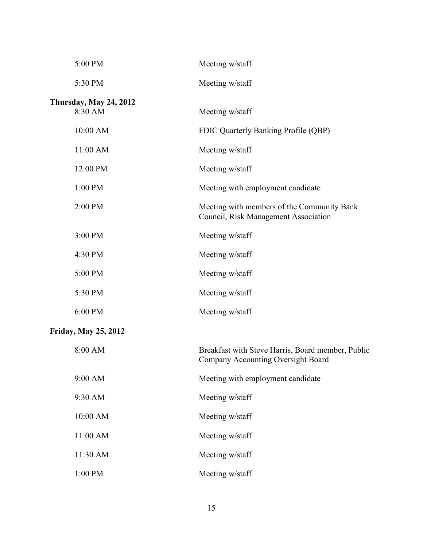| 5:00 PM                                  | Meeting w/staff                                                                         |  |  |
|------------------------------------------|-----------------------------------------------------------------------------------------|--|--|
| 5:30 PM                                  | Meeting w/staff                                                                         |  |  |
| <b>Thursday, May 24, 2012</b><br>8:30 AM | Meeting w/staff                                                                         |  |  |
| 10:00 AM                                 | FDIC Quarterly Banking Profile (QBP)                                                    |  |  |
| 11:00 AM                                 | Meeting w/staff                                                                         |  |  |
| 12:00 PM                                 | Meeting w/staff                                                                         |  |  |
| 1:00 PM                                  | Meeting with employment candidate                                                       |  |  |
| 2:00 PM                                  | Meeting with members of the Community Bank<br>Council, Risk Management Association      |  |  |
| 3:00 PM                                  | Meeting w/staff                                                                         |  |  |
| 4:30 PM                                  | Meeting w/staff                                                                         |  |  |
| 5:00 PM                                  | Meeting w/staff                                                                         |  |  |
| 5:30 PM                                  | Meeting w/staff                                                                         |  |  |
| 6:00 PM                                  | Meeting w/staff                                                                         |  |  |
| <b>Friday, May 25, 2012</b>              |                                                                                         |  |  |
| 8:00 AM                                  | Breakfast with Steve Harris, Board member, Public<br>Company Accounting Oversight Board |  |  |
| 9:00 AM                                  | Meeting with employment candidate                                                       |  |  |
| 9:30 AM                                  | Meeting w/staff                                                                         |  |  |
| 10:00 AM                                 | Meeting w/staff                                                                         |  |  |
| 11:00 AM                                 | Meeting w/staff                                                                         |  |  |
| 11:30 AM                                 | Meeting w/staff                                                                         |  |  |
| 1:00 PM                                  | Meeting w/staff                                                                         |  |  |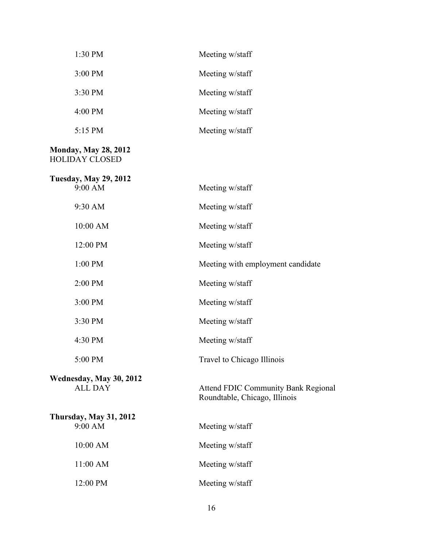| 1:30 PM                                              | Meeting w/staff                                                             |
|------------------------------------------------------|-----------------------------------------------------------------------------|
| 3:00 PM                                              | Meeting w/staff                                                             |
| 3:30 PM                                              | Meeting w/staff                                                             |
| 4:00 PM                                              | Meeting w/staff                                                             |
| 5:15 PM                                              | Meeting w/staff                                                             |
| <b>Monday, May 28, 2012</b><br><b>HOLIDAY CLOSED</b> |                                                                             |
| <b>Tuesday, May 29, 2012</b><br>9:00 AM              | Meeting w/staff                                                             |
| 9:30 AM                                              | Meeting w/staff                                                             |
| 10:00 AM                                             | Meeting w/staff                                                             |
| 12:00 PM                                             | Meeting w/staff                                                             |
| 1:00 PM                                              | Meeting with employment candidate                                           |
| 2:00 PM                                              | Meeting w/staff                                                             |
| 3:00 PM                                              | Meeting w/staff                                                             |
| 3:30 PM                                              | Meeting w/staff                                                             |
| 4:30 PM                                              | Meeting w/staff                                                             |
| 5:00 PM                                              | Travel to Chicago Illinois                                                  |
| Wednesday, May 30, 2012<br><b>ALL DAY</b>            | <b>Attend FDIC Community Bank Regional</b><br>Roundtable, Chicago, Illinois |
| <b>Thursday, May 31, 2012</b><br>9:00 AM             | Meeting w/staff                                                             |
| 10:00 AM                                             | Meeting w/staff                                                             |
| 11:00 AM                                             | Meeting w/staff                                                             |
| 12:00 PM                                             | Meeting w/staff                                                             |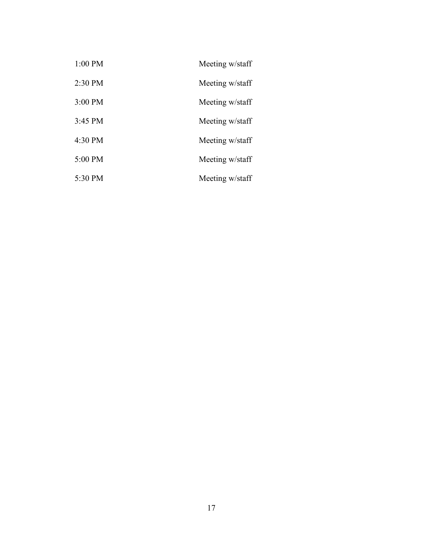| $1:00$ PM         | Meeting w/staff |
|-------------------|-----------------|
| $2:30$ PM         | Meeting w/staff |
| 3:00 PM           | Meeting w/staff |
| $3:45 \text{ PM}$ | Meeting w/staff |
| 4:30 PM           | Meeting w/staff |
| 5:00 PM           | Meeting w/staff |
| 5:30 PM           | Meeting w/staff |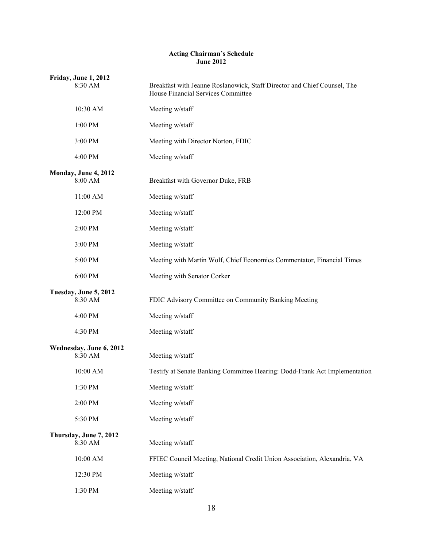#### **Acting Chairman's Schedule June 2012**

| Friday, June 1, 2012<br>8:30 AM    | Breakfast with Jeanne Roslanowick, Staff Director and Chief Counsel, The<br>House Financial Services Committee |
|------------------------------------|----------------------------------------------------------------------------------------------------------------|
| 10:30 AM                           | Meeting w/staff                                                                                                |
| 1:00 PM                            | Meeting w/staff                                                                                                |
| 3:00 PM                            | Meeting with Director Norton, FDIC                                                                             |
| 4:00 PM                            | Meeting w/staff                                                                                                |
| Monday, June 4, 2012<br>8:00 AM    | Breakfast with Governor Duke, FRB                                                                              |
| 11:00 AM                           | Meeting w/staff                                                                                                |
| 12:00 PM                           | Meeting w/staff                                                                                                |
| 2:00 PM                            | Meeting w/staff                                                                                                |
| 3:00 PM                            | Meeting w/staff                                                                                                |
| 5:00 PM                            | Meeting with Martin Wolf, Chief Economics Commentator, Financial Times                                         |
| 6:00 PM                            | Meeting with Senator Corker                                                                                    |
| Tuesday, June 5, 2012<br>8:30 AM   | FDIC Advisory Committee on Community Banking Meeting                                                           |
| 4:00 PM                            | Meeting w/staff                                                                                                |
| 4:30 PM                            | Meeting w/staff                                                                                                |
| Wednesday, June 6, 2012<br>8:30 AM | Meeting w/staff                                                                                                |
| 10:00 AM                           | Testify at Senate Banking Committee Hearing: Dodd-Frank Act Implementation                                     |
| 1:30 PM                            | Meeting w/staff                                                                                                |
| 2:00 PM                            | Meeting w/staff                                                                                                |
| 5:30 PM                            | Meeting w/staff                                                                                                |
| Thursday, June 7, 2012<br>8:30 AM  | Meeting w/staff                                                                                                |
| 10:00 AM                           | FFIEC Council Meeting, National Credit Union Association, Alexandria, VA                                       |
| 12:30 PM                           | Meeting w/staff                                                                                                |
| 1:30 PM                            | Meeting w/staff                                                                                                |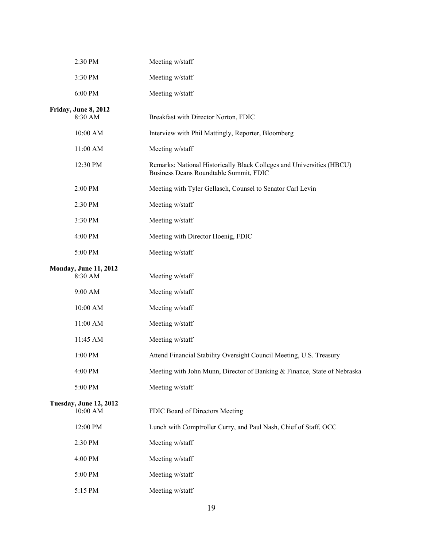| 2:30 PM                                   | Meeting w/staff                                                                                                 |
|-------------------------------------------|-----------------------------------------------------------------------------------------------------------------|
| 3:30 PM                                   | Meeting w/staff                                                                                                 |
| 6:00 PM                                   | Meeting w/staff                                                                                                 |
| Friday, June 8, 2012<br>8:30 AM           | Breakfast with Director Norton, FDIC                                                                            |
| 10:00 AM                                  | Interview with Phil Mattingly, Reporter, Bloomberg                                                              |
| 11:00 AM                                  | Meeting w/staff                                                                                                 |
| 12:30 PM                                  | Remarks: National Historically Black Colleges and Universities (HBCU)<br>Business Deans Roundtable Summit, FDIC |
| 2:00 PM                                   | Meeting with Tyler Gellasch, Counsel to Senator Carl Levin                                                      |
| 2:30 PM                                   | Meeting w/staff                                                                                                 |
| 3:30 PM                                   | Meeting w/staff                                                                                                 |
| 4:00 PM                                   | Meeting with Director Hoenig, FDIC                                                                              |
| 5:00 PM                                   | Meeting w/staff                                                                                                 |
| <b>Monday, June 11, 2012</b><br>8:30 AM   | Meeting w/staff                                                                                                 |
| 9:00 AM                                   | Meeting w/staff                                                                                                 |
| 10:00 AM                                  | Meeting w/staff                                                                                                 |
| 11:00 AM                                  | Meeting w/staff                                                                                                 |
| 11:45 AM                                  | Meeting w/staff                                                                                                 |
| 1:00 PM                                   | Attend Financial Stability Oversight Council Meeting, U.S. Treasury                                             |
| 4:00 PM                                   | Meeting with John Munn, Director of Banking & Finance, State of Nebraska                                        |
| 5:00 PM                                   | Meeting w/staff                                                                                                 |
| <b>Tuesday, June 12, 2012</b><br>10:00 AM | FDIC Board of Directors Meeting                                                                                 |
| 12:00 PM                                  | Lunch with Comptroller Curry, and Paul Nash, Chief of Staff, OCC                                                |
| 2:30 PM                                   | Meeting w/staff                                                                                                 |
| 4:00 PM                                   | Meeting w/staff                                                                                                 |
| 5:00 PM                                   | Meeting w/staff                                                                                                 |
| 5:15 PM                                   | Meeting w/staff                                                                                                 |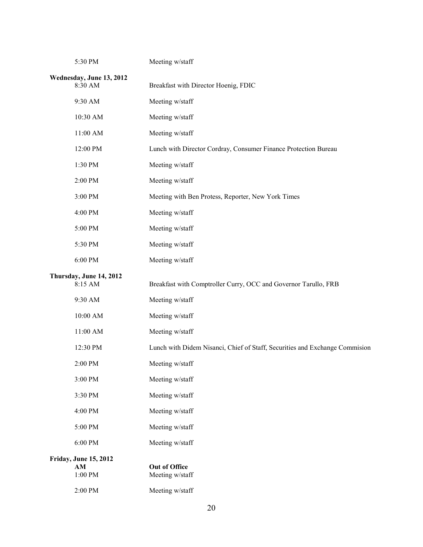| 5:30 PM                             | Meeting w/staff                                                             |
|-------------------------------------|-----------------------------------------------------------------------------|
| Wednesday, June 13, 2012<br>8:30 AM | Breakfast with Director Hoenig, FDIC                                        |
| 9:30 AM                             | Meeting w/staff                                                             |
| 10:30 AM                            | Meeting w/staff                                                             |
| 11:00 AM                            | Meeting w/staff                                                             |
| 12:00 PM                            | Lunch with Director Cordray, Consumer Finance Protection Bureau             |
| 1:30 PM                             | Meeting w/staff                                                             |
| 2:00 PM                             | Meeting w/staff                                                             |
| 3:00 PM                             | Meeting with Ben Protess, Reporter, New York Times                          |
| 4:00 PM                             | Meeting w/staff                                                             |
| 5:00 PM                             | Meeting w/staff                                                             |
| 5:30 PM                             | Meeting w/staff                                                             |
| 6:00 PM                             | Meeting w/staff                                                             |
| Thursday, June 14, 2012<br>8:15 AM  | Breakfast with Comptroller Curry, OCC and Governor Tarullo, FRB             |
| 9:30 AM                             | Meeting w/staff                                                             |
| 10:00 AM                            | Meeting w/staff                                                             |
| 11:00 AM                            | Meeting w/staff                                                             |
| 12:30 PM                            | Lunch with Didem Nisanci, Chief of Staff, Securities and Exchange Commision |
| 2:00 PM                             | Meeting w/staff                                                             |
| 3:00 PM                             | Meeting w/staff                                                             |
| 3:30 PM                             | Meeting w/staff                                                             |
| 4:00 PM                             | Meeting w/staff                                                             |
| 5:00 PM                             | Meeting w/staff                                                             |
| 6:00 PM                             | Meeting w/staff                                                             |
| <b>Friday, June 15, 2012</b>        |                                                                             |
| AM<br>1:00 PM                       | <b>Out of Office</b><br>Meeting w/staff                                     |
| 2:00 PM                             | Meeting w/staff                                                             |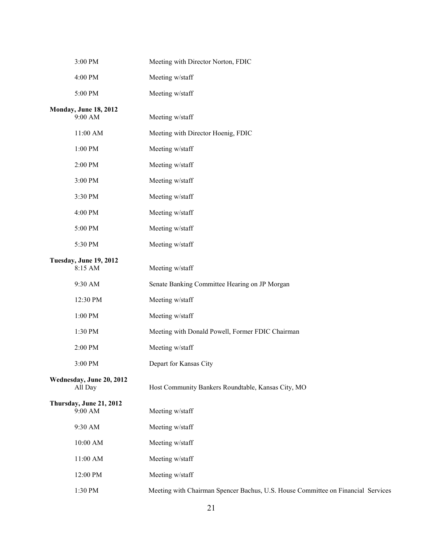| 3:00 PM                                 | Meeting with Director Norton, FDIC                                               |
|-----------------------------------------|----------------------------------------------------------------------------------|
| 4:00 PM                                 | Meeting w/staff                                                                  |
| 5:00 PM                                 | Meeting w/staff                                                                  |
| <b>Monday, June 18, 2012</b><br>9:00 AM | Meeting w/staff                                                                  |
| 11:00 AM                                | Meeting with Director Hoenig, FDIC                                               |
| 1:00 PM                                 | Meeting w/staff                                                                  |
| 2:00 PM                                 | Meeting w/staff                                                                  |
| 3:00 PM                                 | Meeting w/staff                                                                  |
| 3:30 PM                                 | Meeting w/staff                                                                  |
| 4:00 PM                                 | Meeting w/staff                                                                  |
| 5:00 PM                                 | Meeting w/staff                                                                  |
| 5:30 PM                                 | Meeting w/staff                                                                  |
| Tuesday, June 19, 2012<br>8:15 AM       | Meeting w/staff                                                                  |
| 9:30 AM                                 | Senate Banking Committee Hearing on JP Morgan                                    |
| 12:30 PM                                | Meeting w/staff                                                                  |
| 1:00 PM                                 | Meeting w/staff                                                                  |
| 1:30 PM                                 | Meeting with Donald Powell, Former FDIC Chairman                                 |
| 2:00 PM                                 | Meeting w/staff                                                                  |
| 3:00 PM                                 | Depart for Kansas City                                                           |
| Wednesday, June 20, 2012<br>All Day     | Host Community Bankers Roundtable, Kansas City, MO                               |
| Thursday, June 21, 2012<br>9:00 AM      | Meeting w/staff                                                                  |
| 9:30 AM                                 | Meeting w/staff                                                                  |
| $10:00$ AM $\,$                         | Meeting w/staff                                                                  |
| $11:00$ AM $\,$                         | Meeting w/staff                                                                  |
| 12:00 PM                                | Meeting w/staff                                                                  |
| 1:30 PM                                 | Meeting with Chairman Spencer Bachus, U.S. House Committee on Financial Services |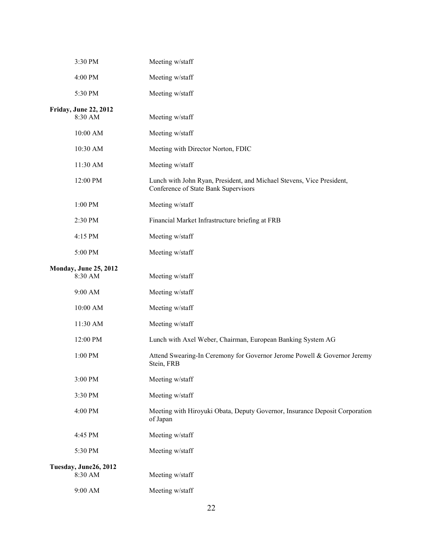| 3:30 PM                                 | Meeting w/staff                                                                                               |
|-----------------------------------------|---------------------------------------------------------------------------------------------------------------|
| 4:00 PM                                 | Meeting w/staff                                                                                               |
| 5:30 PM                                 | Meeting w/staff                                                                                               |
| <b>Friday, June 22, 2012</b><br>8:30 AM | Meeting w/staff                                                                                               |
| 10:00 AM                                | Meeting w/staff                                                                                               |
| 10:30 AM                                | Meeting with Director Norton, FDIC                                                                            |
| 11:30 AM                                | Meeting w/staff                                                                                               |
| 12:00 PM                                | Lunch with John Ryan, President, and Michael Stevens, Vice President,<br>Conference of State Bank Supervisors |
| 1:00 PM                                 | Meeting w/staff                                                                                               |
| 2:30 PM                                 | Financial Market Infrastructure briefing at FRB                                                               |
| 4:15 PM                                 | Meeting w/staff                                                                                               |
| 5:00 PM                                 | Meeting w/staff                                                                                               |
| <b>Monday, June 25, 2012</b><br>8:30 AM | Meeting w/staff                                                                                               |
| 9:00 AM                                 | Meeting w/staff                                                                                               |
| 10:00 AM                                | Meeting w/staff                                                                                               |
| 11:30 AM                                | Meeting w/staff                                                                                               |
| 12:00 PM                                | Lunch with Axel Weber, Chairman, European Banking System AG                                                   |
| 1:00 PM                                 | Attend Swearing-In Ceremony for Governor Jerome Powell & Governor Jeremy<br>Stein, FRB                        |
| 3:00 PM                                 | Meeting w/staff                                                                                               |
| 3:30 PM                                 | Meeting w/staff                                                                                               |
| 4:00 PM                                 | Meeting with Hiroyuki Obata, Deputy Governor, Insurance Deposit Corporation<br>of Japan                       |
| 4:45 PM                                 | Meeting w/staff                                                                                               |
| 5:30 PM                                 | Meeting w/staff                                                                                               |
| Tuesday, June26, 2012<br>8:30 AM        | Meeting w/staff                                                                                               |
| 9:00 AM                                 | Meeting w/staff                                                                                               |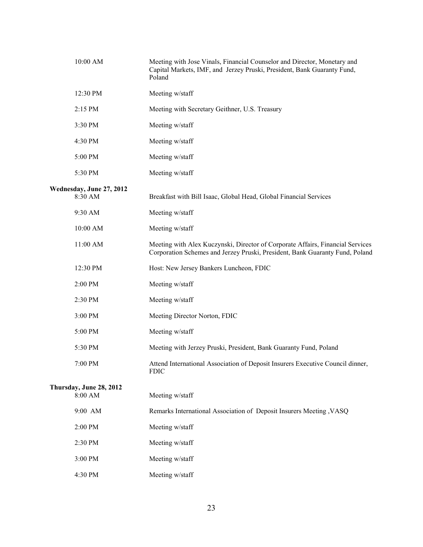| 10:00 AM                            | Meeting with Jose Vinals, Financial Counselor and Director, Monetary and<br>Capital Markets, IMF, and Jerzey Pruski, President, Bank Guaranty Fund,<br>Poland  |
|-------------------------------------|----------------------------------------------------------------------------------------------------------------------------------------------------------------|
| 12:30 PM                            | Meeting w/staff                                                                                                                                                |
| 2:15 PM                             | Meeting with Secretary Geithner, U.S. Treasury                                                                                                                 |
| 3:30 PM                             | Meeting w/staff                                                                                                                                                |
| 4:30 PM                             | Meeting w/staff                                                                                                                                                |
| 5:00 PM                             | Meeting w/staff                                                                                                                                                |
| 5:30 PM                             | Meeting w/staff                                                                                                                                                |
| Wednesday, June 27, 2012<br>8:30 AM | Breakfast with Bill Isaac, Global Head, Global Financial Services                                                                                              |
| 9:30 AM                             | Meeting w/staff                                                                                                                                                |
| 10:00 AM                            | Meeting w/staff                                                                                                                                                |
| 11:00 AM                            | Meeting with Alex Kuczynski, Director of Corporate Affairs, Financial Services<br>Corporation Schemes and Jerzey Pruski, President, Bank Guaranty Fund, Poland |
| 12:30 PM                            | Host: New Jersey Bankers Luncheon, FDIC                                                                                                                        |
| 2:00 PM                             | Meeting w/staff                                                                                                                                                |
| 2:30 PM                             | Meeting w/staff                                                                                                                                                |
| 3:00 PM                             | Meeting Director Norton, FDIC                                                                                                                                  |
| 5:00 PM                             | Meeting w/staff                                                                                                                                                |
| 5:30 PM                             | Meeting with Jerzey Pruski, President, Bank Guaranty Fund, Poland                                                                                              |
| 7:00 PM                             | Attend International Association of Deposit Insurers Executive Council dinner,<br><b>FDIC</b>                                                                  |
| Thursday, June 28, 2012<br>8:00 AM  | Meeting w/staff                                                                                                                                                |
| 9:00 AM                             | Remarks International Association of Deposit Insurers Meeting , VASQ                                                                                           |
| 2:00 PM                             | Meeting w/staff                                                                                                                                                |
| 2:30 PM                             | Meeting w/staff                                                                                                                                                |
| 3:00 PM                             | Meeting w/staff                                                                                                                                                |
| 4:30 PM                             | Meeting w/staff                                                                                                                                                |